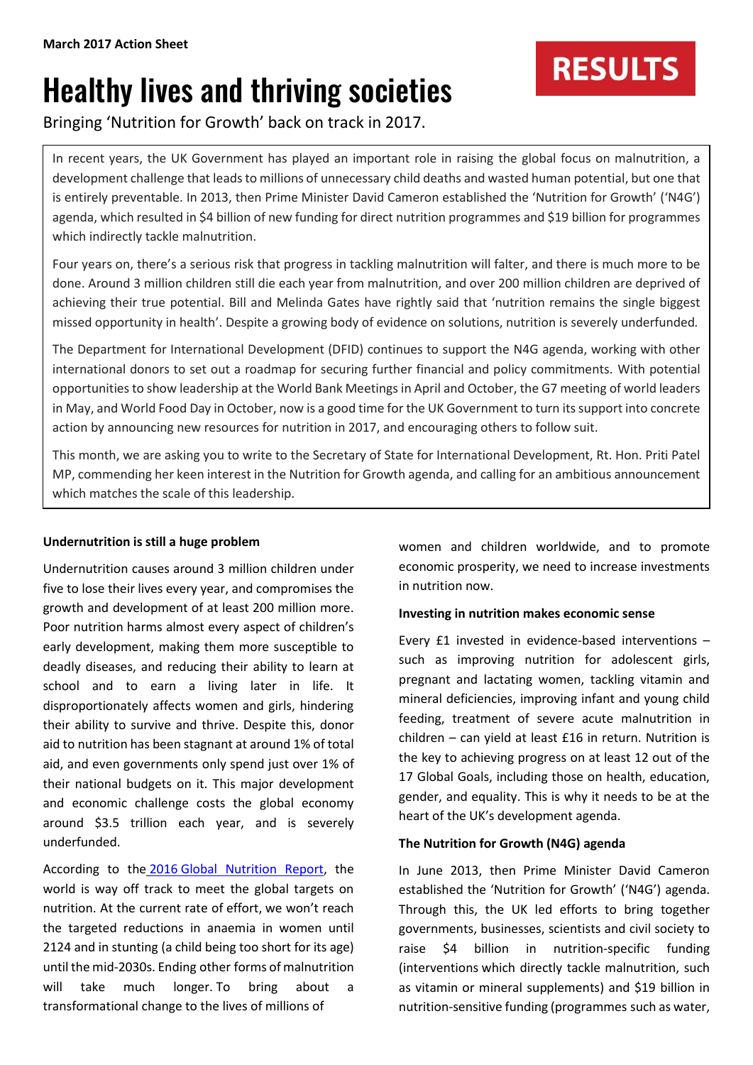# Healthy lives and thriving societies

Bringing 'Nutrition for Growth' back on track in 2017.

In recent years, the UK Government has played an important role in raising the global focus on malnutrition, a development challenge that leads to millions of unnecessary child deaths and wasted human potential, but one that is entirely preventable. In 2013, then Prime Minister David Cameron established the 'Nutrition for Growth' ('N4G') agenda, which resulted in \$4 billion of new funding for direct nutrition programmes and \$19 billion for programmes which indirectly tackle malnutrition.

Four years on, there's a serious risk that progress in tackling malnutrition will falter, and there is much more to be done. Around 3 million children still die each year from malnutrition, and over 200 million children are deprived of achieving their true potential. Bill and Melinda Gates have rightly said that 'nutrition remains the single biggest missed opportunity in health'. Despite a growing body of evidence on solutions, nutrition is severely underfunded*.*

The Department for International Development (DFID) continues to support the N4G agenda, working with other international donors to set out a roadmap for securing further financial and policy commitments. With potential opportunities to show leadership at the World Bank Meetings in April and October, the G7 meeting of world leaders in May, and World Food Day in October, now is a good time for the UK Government to turn itssupport into concrete action by announcing new resources for nutrition in 2017, and encouraging others to follow suit.

This month, we are asking you to write to the Secretary of State for International Development, Rt. Hon. Priti Patel MP, commending her keen interest in the Nutrition for Growth agenda, and calling for an ambitious announcement which matches the scale of this leadership.

# **Undernutrition is still a huge problem**

Undernutrition causes around 3 million children under five to lose their lives every year, and compromises the growth and development of at least 200 million more. Poor nutrition harms almost every aspect of children's early development, making them more susceptible to deadly diseases, and reducing their ability to learn at school and to earn a living later in life. It disproportionately affects women and girls, hindering their ability to survive and thrive. Despite this, donor aid to nutrition has been stagnant at around 1% of total aid, and even governments only spend just over 1% of their national budgets on it. This major development and economic challenge costs the global economy around \$3.5 trillion each year, and is severely underfunded.

According to the 2016 [Global Nutrition Report,](http://ebrary.ifpri.org/utils/getfile/collection/p15738coll2/id/130354/filename/130565.pdf) the world is way off track to meet the global targets on nutrition. At the current rate of effort, we won't reach the targeted reductions in anaemia in women until 2124 and in stunting (a child being too short for its age) until the mid-2030s. Ending other forms of malnutrition will take much longer. To bring about a transformational change to the lives of millions of

women and children worldwide, and to promote economic prosperity, we need to increase investments in nutrition now.

**RESULTS** 

# **Investing in nutrition makes economic sense**

Every £1 invested in evidence-based interventions – such as improving nutrition for adolescent girls, pregnant and lactating women, tackling vitamin and mineral deficiencies, improving infant and young child feeding, treatment of severe acute malnutrition in children – can yield at least £16 in return. Nutrition is the key to achieving progress on at least 12 out of the 17 Global Goals, including those on health, education, gender, and equality. This is why it needs to be at the heart of the UK's development agenda.

## **The Nutrition for Growth (N4G) agenda**

In June 2013, then Prime Minister David Cameron established the 'Nutrition for Growth' ('N4G') agenda. Through this, the UK led efforts to bring together governments, businesses, scientists and civil society to raise \$4 billion in nutrition-specific funding (interventions which directly tackle malnutrition, such as vitamin or mineral supplements) and \$19 billion in nutrition-sensitive funding (programmes such as water,